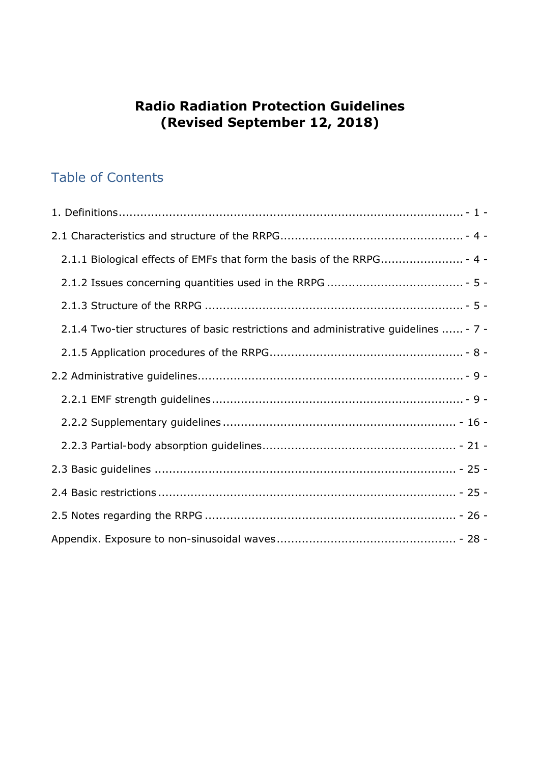# **Radio Radiation Protection Guidelines (Revised September 12, 2018)**

# Table of Contents

| 2.1.1 Biological effects of EMFs that form the basis of the RRPG - 4 -               |
|--------------------------------------------------------------------------------------|
|                                                                                      |
|                                                                                      |
| 2.1.4 Two-tier structures of basic restrictions and administrative guidelines  - 7 - |
|                                                                                      |
|                                                                                      |
|                                                                                      |
|                                                                                      |
|                                                                                      |
|                                                                                      |
|                                                                                      |
|                                                                                      |
|                                                                                      |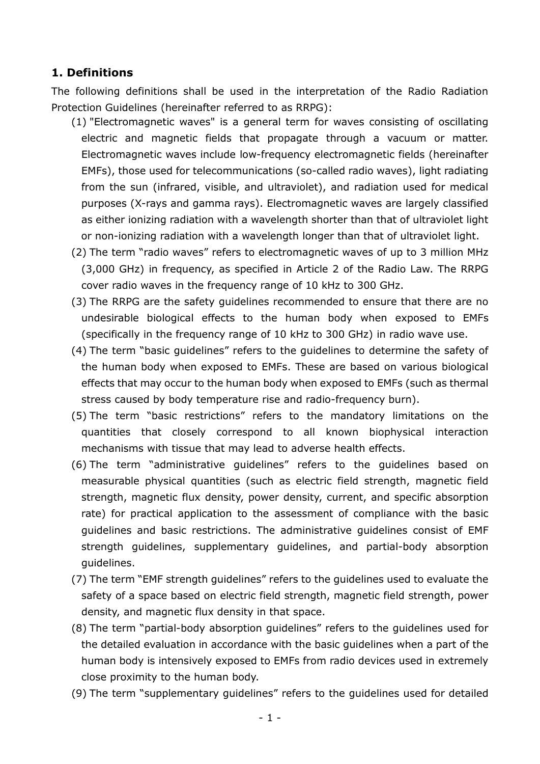### <span id="page-1-0"></span>**1. Definitions**

The following definitions shall be used in the interpretation of the Radio Radiation Protection Guidelines (hereinafter referred to as RRPG):

- (1) "Electromagnetic waves" is a general term for waves consisting of oscillating electric and magnetic fields that propagate through a vacuum or matter. Electromagnetic waves include low-frequency electromagnetic fields (hereinafter EMFs), those used for telecommunications (so-called radio waves), light radiating from the sun (infrared, visible, and ultraviolet), and radiation used for medical purposes (X-rays and gamma rays). Electromagnetic waves are largely classified as either ionizing radiation with a wavelength shorter than that of ultraviolet light or non-ionizing radiation with a wavelength longer than that of ultraviolet light.
- (2) The term "radio waves" refers to electromagnetic waves of up to 3 million MHz (3,000 GHz) in frequency, as specified in Article 2 of the Radio Law. The RRPG cover radio waves in the frequency range of 10 kHz to 300 GHz.
- (3) The RRPG are the safety guidelines recommended to ensure that there are no undesirable biological effects to the human body when exposed to EMFs (specifically in the frequency range of 10 kHz to 300 GHz) in radio wave use.
- (4) The term "basic guidelines" refers to the guidelines to determine the safety of the human body when exposed to EMFs. These are based on various biological effects that may occur to the human body when exposed to EMFs (such as thermal stress caused by body temperature rise and radio-frequency burn).
- (5) The term "basic restrictions" refers to the mandatory limitations on the quantities that closely correspond to all known biophysical interaction mechanisms with tissue that may lead to adverse health effects.
- (6) The term "administrative guidelines" refers to the guidelines based on measurable physical quantities (such as electric field strength, magnetic field strength, magnetic flux density, power density, current, and specific absorption rate) for practical application to the assessment of compliance with the basic guidelines and basic restrictions. The administrative guidelines consist of EMF strength guidelines, supplementary guidelines, and partial-body absorption guidelines.
- (7) The term "EMF strength guidelines" refers to the guidelines used to evaluate the safety of a space based on electric field strength, magnetic field strength, power density, and magnetic flux density in that space.
- (8) The term "partial-body absorption guidelines" refers to the guidelines used for the detailed evaluation in accordance with the basic guidelines when a part of the human body is intensively exposed to EMFs from radio devices used in extremely close proximity to the human body.
- (9) The term "supplementary guidelines" refers to the guidelines used for detailed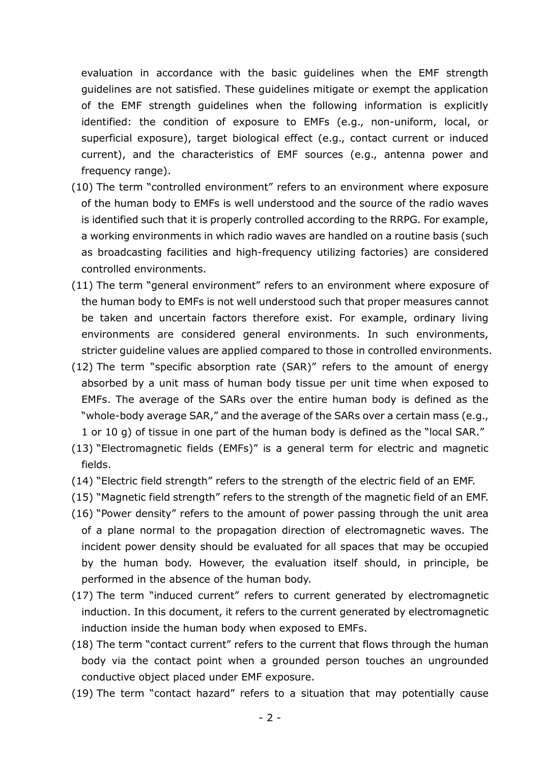evaluation in accordance with the basic guidelines when the EMF strength guidelines are not satisfied. These guidelines mitigate or exempt the application of the EMF strength guidelines when the following information is explicitly identified: the condition of exposure to EMFs (e.g., non-uniform, local, or superficial exposure), target biological effect (e.g., contact current or induced current), and the characteristics of EMF sources (e.g., antenna power and frequency range).

- (10) The term "controlled environment" refers to an environment where exposure of the human body to EMFs is well understood and the source of the radio waves is identified such that it is properly controlled according to the RRPG. For example, a working environments in which radio waves are handled on a routine basis (such as broadcasting facilities and high-frequency utilizing factories) are considered controlled environments.
- (11) The term "general environment" refers to an environment where exposure of the human body to EMFs is not well understood such that proper measures cannot be taken and uncertain factors therefore exist. For example, ordinary living environments are considered general environments. In such environments, stricter guideline values are applied compared to those in controlled environments.
- (12) The term "specific absorption rate (SAR)" refers to the amount of energy absorbed by a unit mass of human body tissue per unit time when exposed to EMFs. The average of the SARs over the entire human body is defined as the "whole-body average SAR," and the average of the SARs over a certain mass (e.g., 1 or 10 g) of tissue in one part of the human body is defined as the "local SAR."
- (13) "Electromagnetic fields (EMFs)" is a general term for electric and magnetic fields.
- (14) "Electric field strength" refers to the strength of the electric field of an EMF.
- (15) "Magnetic field strength" refers to the strength of the magnetic field of an EMF.
- (16) "Power density" refers to the amount of power passing through the unit area of a plane normal to the propagation direction of electromagnetic waves. The incident power density should be evaluated for all spaces that may be occupied by the human body. However, the evaluation itself should, in principle, be performed in the absence of the human body.
- (17) The term "induced current" refers to current generated by electromagnetic induction. In this document, it refers to the current generated by electromagnetic induction inside the human body when exposed to EMFs.
- (18) The term "contact current" refers to the current that flows through the human body via the contact point when a grounded person touches an ungrounded conductive object placed under EMF exposure.
- (19) The term "contact hazard" refers to a situation that may potentially cause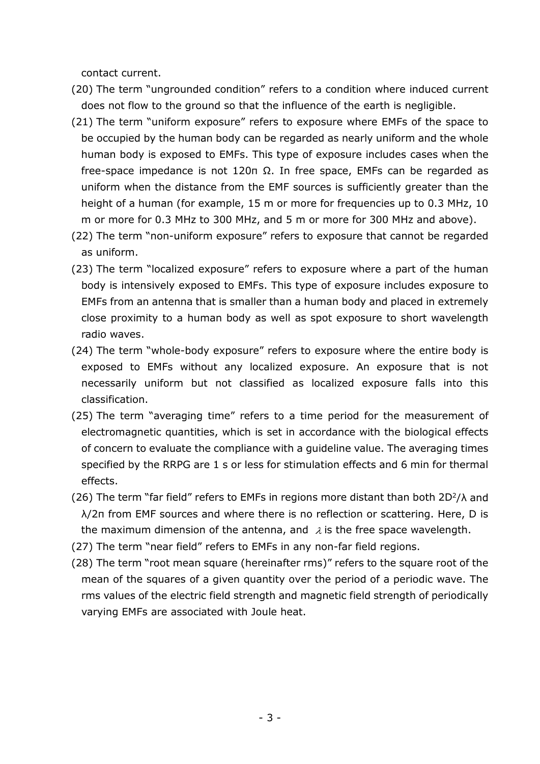contact current.

- (20) The term "ungrounded condition" refers to a condition where induced current does not flow to the ground so that the influence of the earth is negligible.
- (21) The term "uniform exposure" refers to exposure where EMFs of the space to be occupied by the human body can be regarded as nearly uniform and the whole human body is exposed to EMFs. This type of exposure includes cases when the free-space impedance is not 120π Ω. In free space, EMFs can be regarded as uniform when the distance from the EMF sources is sufficiently greater than the height of a human (for example, 15 m or more for frequencies up to 0.3 MHz, 10 m or more for 0.3 MHz to 300 MHz, and 5 m or more for 300 MHz and above).
- (22) The term "non-uniform exposure" refers to exposure that cannot be regarded as uniform.
- (23) The term "localized exposure" refers to exposure where a part of the human body is intensively exposed to EMFs. This type of exposure includes exposure to EMFs from an antenna that is smaller than a human body and placed in extremely close proximity to a human body as well as spot exposure to short wavelength radio waves.
- (24) The term "whole-body exposure" refers to exposure where the entire body is exposed to EMFs without any localized exposure. An exposure that is not necessarily uniform but not classified as localized exposure falls into this classification.
- (25) The term "averaging time" refers to a time period for the measurement of electromagnetic quantities, which is set in accordance with the biological effects of concern to evaluate the compliance with a guideline value. The averaging times specified by the RRPG are 1 s or less for stimulation effects and 6 min for thermal effects.
- (26) The term "far field" refers to EMFs in regions more distant than both  $2D^2/\lambda$  and λ/2π from EMF sources and where there is no reflection or scattering. Here, D is the maximum dimension of the antenna, and  $\lambda$  is the free space wavelength.
- (27) The term "near field" refers to EMFs in any non-far field regions.
- (28) The term "root mean square (hereinafter rms)" refers to the square root of the mean of the squares of a given quantity over the period of a periodic wave. The rms values of the electric field strength and magnetic field strength of periodically varying EMFs are associated with Joule heat.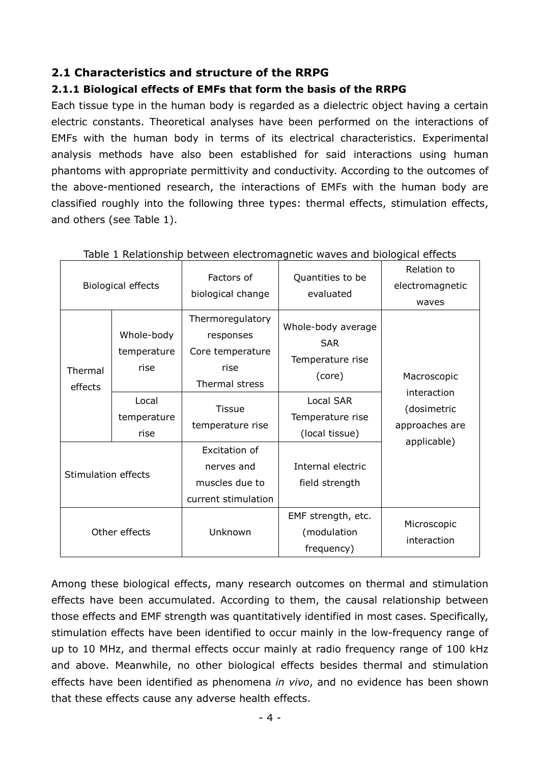## <span id="page-4-0"></span>**2.1 Characteristics and structure of the RRPG**

#### <span id="page-4-1"></span>**2.1.1 Biological effects of EMFs that form the basis of the RRPG**

Each tissue type in the human body is regarded as a dielectric object having a certain electric constants. Theoretical analyses have been performed on the interactions of EMFs with the human body in terms of its electrical characteristics. Experimental analysis methods have also been established for said interactions using human phantoms with appropriate permittivity and conductivity. According to the outcomes of the above-mentioned research, the interactions of EMFs with the human body are classified roughly into the following three types: thermal effects, stimulation effects, and others (see Table 1).

| Biological effects                 |                                                           | Factors of<br>biological change                                                                                  | Quantities to be<br>evaluated                                                                   | Relation to<br>electromagnetic<br>waves                     |
|------------------------------------|-----------------------------------------------------------|------------------------------------------------------------------------------------------------------------------|-------------------------------------------------------------------------------------------------|-------------------------------------------------------------|
| Thermal<br>effects                 | Whole-body<br>temperature<br>rise<br>Local<br>temperature | Thermoregulatory<br>responses<br>Core temperature<br>rise<br>Thermal stress<br><b>Tissue</b><br>temperature rise | Whole-body average<br><b>SAR</b><br>Temperature rise<br>(core)<br>Local SAR<br>Temperature rise | Macroscopic<br>interaction<br>(dosimetric<br>approaches are |
| rise<br><b>Stimulation effects</b> |                                                           | Excitation of<br>nerves and<br>muscles due to<br>current stimulation                                             | (local tissue)<br>Internal electric<br>field strength                                           | applicable)                                                 |
| Other effects                      |                                                           | Unknown                                                                                                          | EMF strength, etc.<br>(modulation<br>frequency)                                                 | Microscopic<br>interaction                                  |

| Table 1 Relationship between electromagnetic waves and biological effects |  |  |  |
|---------------------------------------------------------------------------|--|--|--|
|                                                                           |  |  |  |

Among these biological effects, many research outcomes on thermal and stimulation effects have been accumulated. According to them, the causal relationship between those effects and EMF strength was quantitatively identified in most cases. Specifically, stimulation effects have been identified to occur mainly in the low-frequency range of up to 10 MHz, and thermal effects occur mainly at radio frequency range of 100 kHz and above. Meanwhile, no other biological effects besides thermal and stimulation effects have been identified as phenomena *in vivo*, and no evidence has been shown that these effects cause any adverse health effects.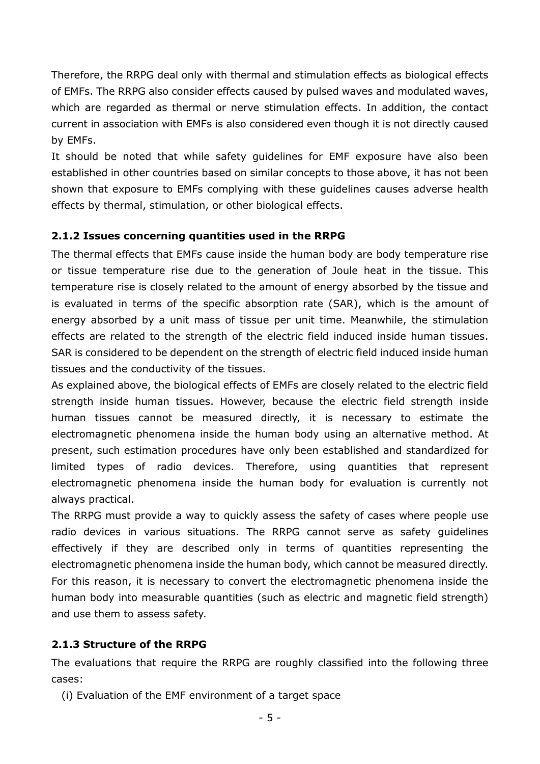Therefore, the RRPG deal only with thermal and stimulation effects as biological effects of EMFs. The RRPG also consider effects caused by pulsed waves and modulated waves, which are regarded as thermal or nerve stimulation effects. In addition, the contact current in association with EMFs is also considered even though it is not directly caused by EMFs.

It should be noted that while safety guidelines for EMF exposure have also been established in other countries based on similar concepts to those above, it has not been shown that exposure to EMFs complying with these guidelines causes adverse health effects by thermal, stimulation, or other biological effects.

#### <span id="page-5-0"></span>**2.1.2 Issues concerning quantities used in the RRPG**

The thermal effects that EMFs cause inside the human body are body temperature rise or tissue temperature rise due to the generation of Joule heat in the tissue. This temperature rise is closely related to the amount of energy absorbed by the tissue and is evaluated in terms of the specific absorption rate (SAR), which is the amount of energy absorbed by a unit mass of tissue per unit time. Meanwhile, the stimulation effects are related to the strength of the electric field induced inside human tissues. SAR is considered to be dependent on the strength of electric field induced inside human tissues and the conductivity of the tissues.

As explained above, the biological effects of EMFs are closely related to the electric field strength inside human tissues. However, because the electric field strength inside human tissues cannot be measured directly, it is necessary to estimate the electromagnetic phenomena inside the human body using an alternative method. At present, such estimation procedures have only been established and standardized for limited types of radio devices. Therefore, using quantities that represent electromagnetic phenomena inside the human body for evaluation is currently not always practical.

The RRPG must provide a way to quickly assess the safety of cases where people use radio devices in various situations. The RRPG cannot serve as safety guidelines effectively if they are described only in terms of quantities representing the electromagnetic phenomena inside the human body, which cannot be measured directly. For this reason, it is necessary to convert the electromagnetic phenomena inside the human body into measurable quantities (such as electric and magnetic field strength) and use them to assess safety.

#### <span id="page-5-1"></span>**2.1.3 Structure of the RRPG**

The evaluations that require the RRPG are roughly classified into the following three cases:

(i) Evaluation of the EMF environment of a target space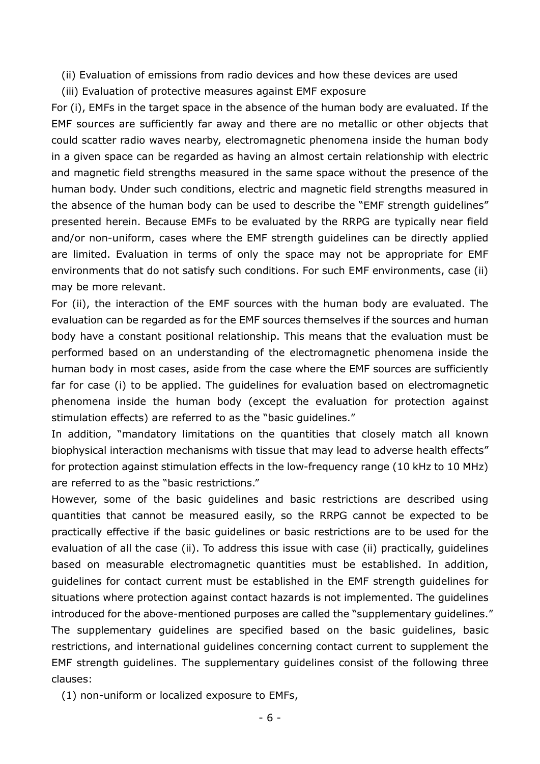- (ii) Evaluation of emissions from radio devices and how these devices are used
- (iii) Evaluation of protective measures against EMF exposure

For (i), EMFs in the target space in the absence of the human body are evaluated. If the EMF sources are sufficiently far away and there are no metallic or other objects that could scatter radio waves nearby, electromagnetic phenomena inside the human body in a given space can be regarded as having an almost certain relationship with electric and magnetic field strengths measured in the same space without the presence of the human body. Under such conditions, electric and magnetic field strengths measured in the absence of the human body can be used to describe the "EMF strength guidelines" presented herein. Because EMFs to be evaluated by the RRPG are typically near field and/or non-uniform, cases where the EMF strength guidelines can be directly applied are limited. Evaluation in terms of only the space may not be appropriate for EMF environments that do not satisfy such conditions. For such EMF environments, case (ii) may be more relevant.

For (ii), the interaction of the EMF sources with the human body are evaluated. The evaluation can be regarded as for the EMF sources themselves if the sources and human body have a constant positional relationship. This means that the evaluation must be performed based on an understanding of the electromagnetic phenomena inside the human body in most cases, aside from the case where the EMF sources are sufficiently far for case (i) to be applied. The guidelines for evaluation based on electromagnetic phenomena inside the human body (except the evaluation for protection against stimulation effects) are referred to as the "basic guidelines."

In addition, "mandatory limitations on the quantities that closely match all known biophysical interaction mechanisms with tissue that may lead to adverse health effects" for protection against stimulation effects in the low-frequency range (10 kHz to 10 MHz) are referred to as the "basic restrictions."

However, some of the basic guidelines and basic restrictions are described using quantities that cannot be measured easily, so the RRPG cannot be expected to be practically effective if the basic guidelines or basic restrictions are to be used for the evaluation of all the case (ii). To address this issue with case (ii) practically, guidelines based on measurable electromagnetic quantities must be established. In addition, guidelines for contact current must be established in the EMF strength guidelines for situations where protection against contact hazards is not implemented. The guidelines introduced for the above-mentioned purposes are called the "supplementary guidelines." The supplementary guidelines are specified based on the basic guidelines, basic restrictions, and international guidelines concerning contact current to supplement the EMF strength guidelines. The supplementary guidelines consist of the following three clauses:

(1) non-uniform or localized exposure to EMFs,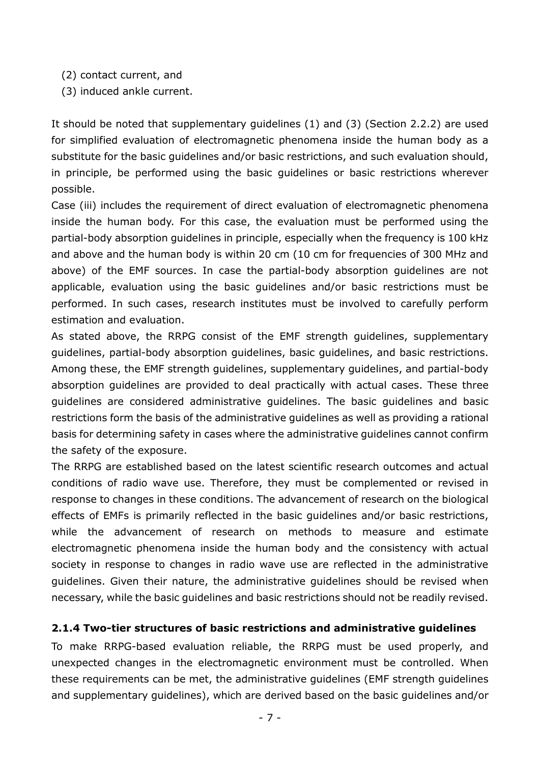- (2) contact current, and
- (3) induced ankle current.

It should be noted that supplementary guidelines (1) and (3) (Section 2.2.2) are used for simplified evaluation of electromagnetic phenomena inside the human body as a substitute for the basic guidelines and/or basic restrictions, and such evaluation should, in principle, be performed using the basic guidelines or basic restrictions wherever possible.

Case (iii) includes the requirement of direct evaluation of electromagnetic phenomena inside the human body. For this case, the evaluation must be performed using the partial-body absorption guidelines in principle, especially when the frequency is 100 kHz and above and the human body is within 20 cm (10 cm for frequencies of 300 MHz and above) of the EMF sources. In case the partial-body absorption guidelines are not applicable, evaluation using the basic guidelines and/or basic restrictions must be performed. In such cases, research institutes must be involved to carefully perform estimation and evaluation.

As stated above, the RRPG consist of the EMF strength guidelines, supplementary guidelines, partial-body absorption guidelines, basic guidelines, and basic restrictions. Among these, the EMF strength guidelines, supplementary guidelines, and partial-body absorption guidelines are provided to deal practically with actual cases. These three guidelines are considered administrative guidelines. The basic guidelines and basic restrictions form the basis of the administrative guidelines as well as providing a rational basis for determining safety in cases where the administrative guidelines cannot confirm the safety of the exposure.

The RRPG are established based on the latest scientific research outcomes and actual conditions of radio wave use. Therefore, they must be complemented or revised in response to changes in these conditions. The advancement of research on the biological effects of EMFs is primarily reflected in the basic guidelines and/or basic restrictions, while the advancement of research on methods to measure and estimate electromagnetic phenomena inside the human body and the consistency with actual society in response to changes in radio wave use are reflected in the administrative guidelines. Given their nature, the administrative guidelines should be revised when necessary, while the basic guidelines and basic restrictions should not be readily revised.

#### <span id="page-7-0"></span>**2.1.4 Two-tier structures of basic restrictions and administrative guidelines**

To make RRPG-based evaluation reliable, the RRPG must be used properly, and unexpected changes in the electromagnetic environment must be controlled. When these requirements can be met, the administrative guidelines (EMF strength guidelines and supplementary guidelines), which are derived based on the basic guidelines and/or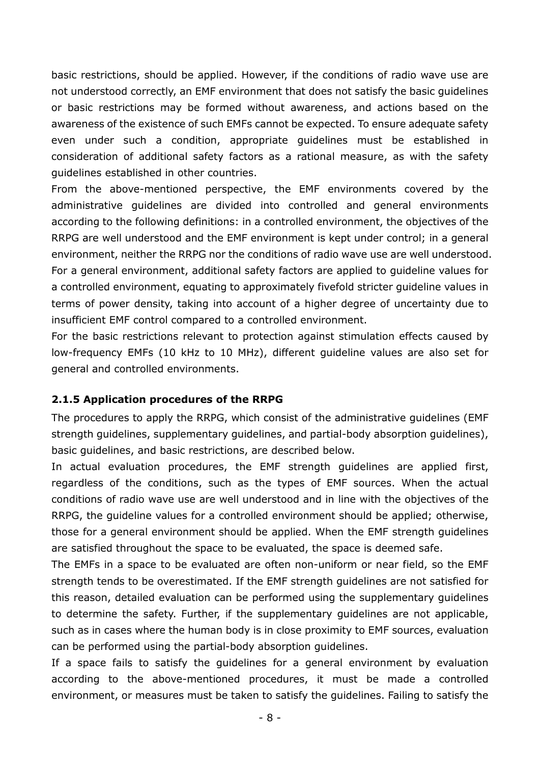basic restrictions, should be applied. However, if the conditions of radio wave use are not understood correctly, an EMF environment that does not satisfy the basic guidelines or basic restrictions may be formed without awareness, and actions based on the awareness of the existence of such EMFs cannot be expected. To ensure adequate safety even under such a condition, appropriate guidelines must be established in consideration of additional safety factors as a rational measure, as with the safety guidelines established in other countries.

From the above-mentioned perspective, the EMF environments covered by the administrative guidelines are divided into controlled and general environments according to the following definitions: in a controlled environment, the objectives of the RRPG are well understood and the EMF environment is kept under control; in a general environment, neither the RRPG nor the conditions of radio wave use are well understood. For a general environment, additional safety factors are applied to guideline values for a controlled environment, equating to approximately fivefold stricter guideline values in terms of power density, taking into account of a higher degree of uncertainty due to insufficient EMF control compared to a controlled environment.

For the basic restrictions relevant to protection against stimulation effects caused by low-frequency EMFs (10 kHz to 10 MHz), different guideline values are also set for general and controlled environments.

#### <span id="page-8-0"></span>**2.1.5 Application procedures of the RRPG**

The procedures to apply the RRPG, which consist of the administrative guidelines (EMF strength guidelines, supplementary guidelines, and partial-body absorption guidelines), basic guidelines, and basic restrictions, are described below.

In actual evaluation procedures, the EMF strength guidelines are applied first, regardless of the conditions, such as the types of EMF sources. When the actual conditions of radio wave use are well understood and in line with the objectives of the RRPG, the guideline values for a controlled environment should be applied; otherwise, those for a general environment should be applied. When the EMF strength guidelines are satisfied throughout the space to be evaluated, the space is deemed safe.

The EMFs in a space to be evaluated are often non-uniform or near field, so the EMF strength tends to be overestimated. If the EMF strength guidelines are not satisfied for this reason, detailed evaluation can be performed using the supplementary guidelines to determine the safety. Further, if the supplementary guidelines are not applicable, such as in cases where the human body is in close proximity to EMF sources, evaluation can be performed using the partial-body absorption guidelines.

If a space fails to satisfy the guidelines for a general environment by evaluation according to the above-mentioned procedures, it must be made a controlled environment, or measures must be taken to satisfy the guidelines. Failing to satisfy the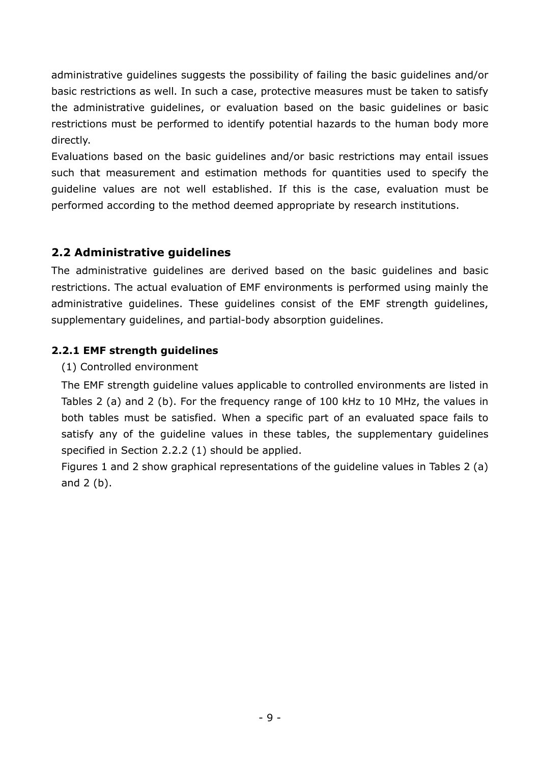administrative guidelines suggests the possibility of failing the basic guidelines and/or basic restrictions as well. In such a case, protective measures must be taken to satisfy the administrative guidelines, or evaluation based on the basic guidelines or basic restrictions must be performed to identify potential hazards to the human body more directly.

Evaluations based on the basic guidelines and/or basic restrictions may entail issues such that measurement and estimation methods for quantities used to specify the guideline values are not well established. If this is the case, evaluation must be performed according to the method deemed appropriate by research institutions.

# <span id="page-9-0"></span>**2.2 Administrative guidelines**

The administrative guidelines are derived based on the basic guidelines and basic restrictions. The actual evaluation of EMF environments is performed using mainly the administrative guidelines. These guidelines consist of the EMF strength guidelines, supplementary guidelines, and partial-body absorption guidelines.

# <span id="page-9-1"></span>**2.2.1 EMF strength guidelines**

(1) Controlled environment

The EMF strength guideline values applicable to controlled environments are listed in Tables 2 (a) and 2 (b). For the frequency range of 100 kHz to 10 MHz, the values in both tables must be satisfied. When a specific part of an evaluated space fails to satisfy any of the guideline values in these tables, the supplementary guidelines specified in Section 2.2.2 (1) should be applied.

Figures 1 and 2 show graphical representations of the guideline values in Tables 2 (a) and 2 (b).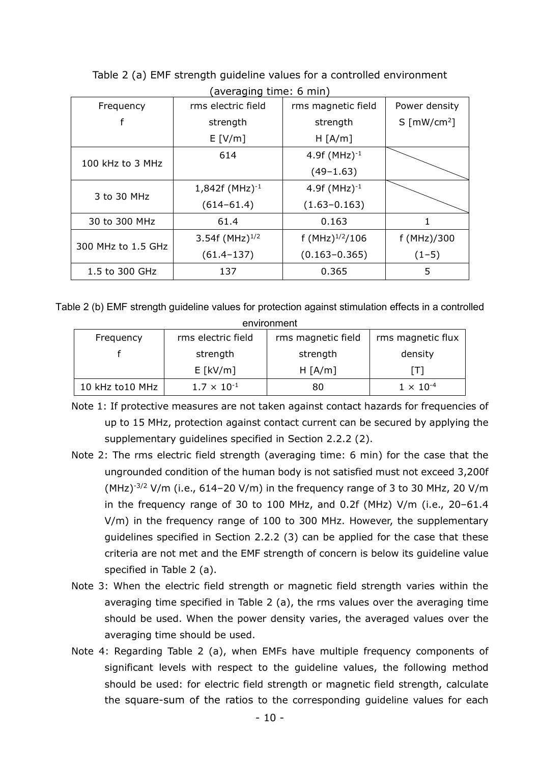| rms electric field                       | rms magnetic field  | Power density                  |  |  |  |  |
|------------------------------------------|---------------------|--------------------------------|--|--|--|--|
| strength                                 | strength            | $S \sim \lceil mW/cm^2 \rceil$ |  |  |  |  |
| E[V/m]                                   | H [A/m]             |                                |  |  |  |  |
| 614                                      | 4.9f $(MHz)^{-1}$   |                                |  |  |  |  |
|                                          | $(49-1.63)$         |                                |  |  |  |  |
| $1,842f (MHz)^{-1}$<br>4.9f $(MHz)^{-1}$ |                     |                                |  |  |  |  |
| $(614 - 61.4)$                           | $(1.63 - 0.163)$    |                                |  |  |  |  |
| 61.4                                     | 0.163               |                                |  |  |  |  |
| 3.54f (MHz) $^{1/2}$                     | f $(MHz)^{1/2}/106$ | f (MHz)/300                    |  |  |  |  |
| $(61.4 - 137)$                           | $(0.163 - 0.365)$   | $(1-5)$                        |  |  |  |  |
| 137                                      | 0.365               | 5                              |  |  |  |  |
|                                          |                     |                                |  |  |  |  |

Table 2 (a) EMF strength guideline values for a controlled environment (averaging time: 6 min)

Table 2 (b) EMF strength guideline values for protection against stimulation effects in a controlled environment

| Frequency       | rms electric field   | rms magnetic field | rms magnetic flux  |
|-----------------|----------------------|--------------------|--------------------|
| strength        |                      | strength           | density            |
|                 | $E$ [kV/m]           | H [A/m]            | I T I              |
| 10 kHz to10 MHz | $1.7 \times 10^{-1}$ | 80                 | $1 \times 10^{-4}$ |

- Note 1: If protective measures are not taken against contact hazards for frequencies of up to 15 MHz, protection against contact current can be secured by applying the supplementary guidelines specified in Section 2.2.2 (2).
- Note 2: The rms electric field strength (averaging time: 6 min) for the case that the ungrounded condition of the human body is not satisfied must not exceed 3,200f (MHz) $^{-3/2}$  V/m (i.e., 614–20 V/m) in the frequency range of 3 to 30 MHz, 20 V/m in the frequency range of 30 to 100 MHz, and 0.2f (MHz) V/m (i.e., 20–61.4 V/m) in the frequency range of 100 to 300 MHz. However, the supplementary guidelines specified in Section 2.2.2 (3) can be applied for the case that these criteria are not met and the EMF strength of concern is below its guideline value specified in Table 2 (a).
- Note 3: When the electric field strength or magnetic field strength varies within the averaging time specified in Table 2 (a), the rms values over the averaging time should be used. When the power density varies, the averaged values over the averaging time should be used.
- Note 4: Regarding Table 2 (a), when EMFs have multiple frequency components of significant levels with respect to the guideline values, the following method should be used: for electric field strength or magnetic field strength, calculate the square-sum of the ratios to the corresponding guideline values for each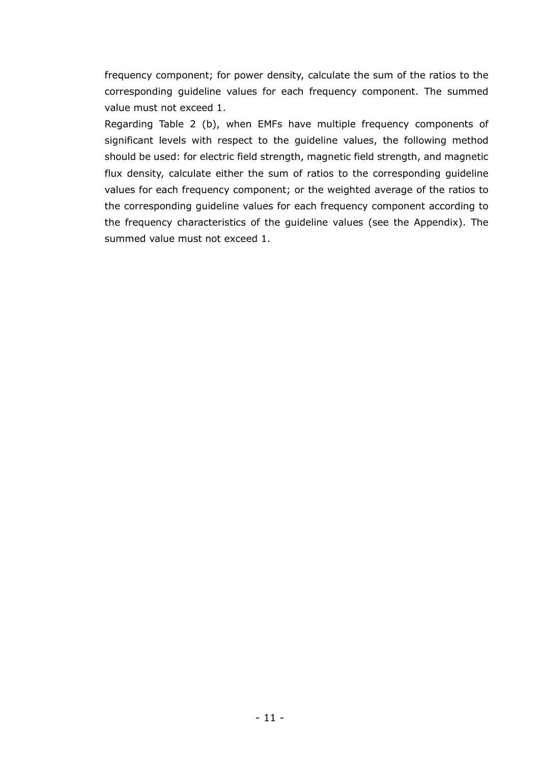frequency component; for power density, calculate the sum of the ratios to the corresponding guideline values for each frequency component. The summed value must not exceed 1.

Regarding Table 2 (b), when EMFs have multiple frequency components of significant levels with respect to the guideline values, the following method should be used: for electric field strength, magnetic field strength, and magnetic flux density, calculate either the sum of ratios to the corresponding guideline values for each frequency component; or the weighted average of the ratios to the corresponding guideline values for each frequency component according to the frequency characteristics of the guideline values (see the Appendix). The summed value must not exceed 1.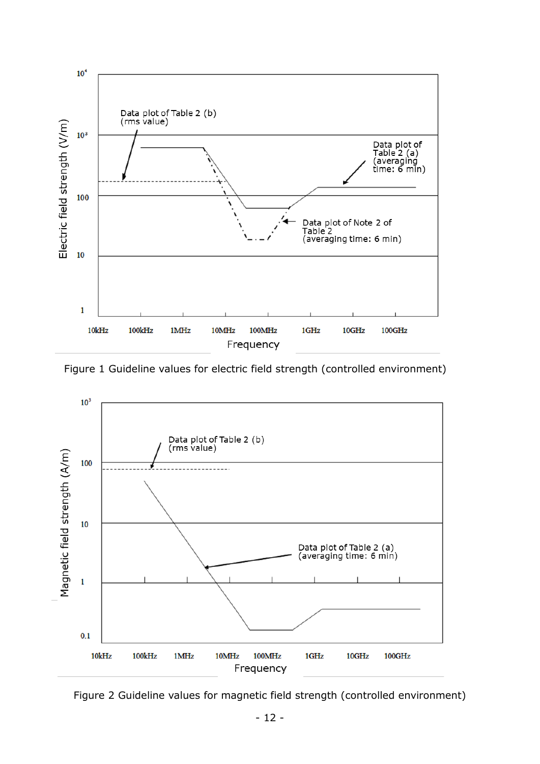

Figure 1 Guideline values for electric field strength (controlled environment)



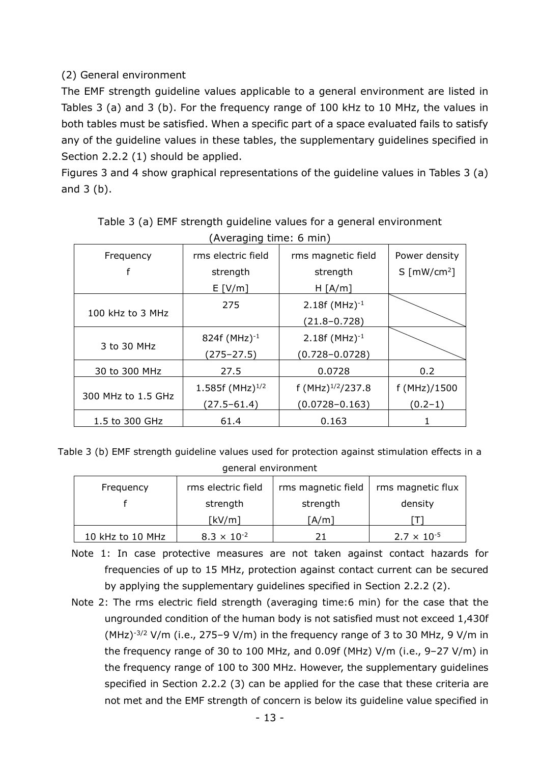# (2) General environment

The EMF strength guideline values applicable to a general environment are listed in Tables 3 (a) and 3 (b). For the frequency range of 100 kHz to 10 MHz, the values in both tables must be satisfied. When a specific part of a space evaluated fails to satisfy any of the guideline values in these tables, the supplementary guidelines specified in Section 2.2.2 (1) should be applied.

Figures 3 and 4 show graphical representations of the guideline values in Tables 3 (a) and 3 (b).

| 1.1111             |                       |                       |                                |  |  |  |
|--------------------|-----------------------|-----------------------|--------------------------------|--|--|--|
| Frequency          | rms electric field    | rms magnetic field    | Power density                  |  |  |  |
| f                  | strength              | strength              | $S \sim \lceil mW/cm^2 \rceil$ |  |  |  |
|                    | E[V/m]                | H [A/m]               |                                |  |  |  |
|                    | 275                   | $2.18f (MHz)^{-1}$    |                                |  |  |  |
| 100 kHz to 3 MHz   |                       | $(21.8 - 0.728)$      |                                |  |  |  |
| 3 to 30 MHz        | 824f (MHz) $^{-1}$    | $2.18f (MHz)^{-1}$    |                                |  |  |  |
|                    | $(275 - 27.5)$        | $(0.728 - 0.0728)$    |                                |  |  |  |
| 30 to 300 MHz      | 27.5                  | 0.0728                | 0.2                            |  |  |  |
| 300 MHz to 1.5 GHz | 1.585f (MHz) $^{1/2}$ | f $(MHz)^{1/2}/237.8$ | f (MHz)/1500                   |  |  |  |
|                    | $(27.5 - 61.4)$       | $(0.0728 - 0.163)$    | $(0.2 - 1)$                    |  |  |  |
| 1.5 to 300 GHz     | 61.4                  | 0.163                 |                                |  |  |  |

Table 3 (a) EMF strength guideline values for a general environment (Averaging time: 6 min)

Table 3 (b) EMF strength guideline values used for protection against stimulation effects in a general environment

| Frequency        | rms electric field   | rms magnetic field | rms magnetic flux    |  |
|------------------|----------------------|--------------------|----------------------|--|
|                  | strength             | strength           | density              |  |
|                  | [kV/m]               | [A/m]              |                      |  |
| 10 kHz to 10 MHz | $8.3 \times 10^{-2}$ |                    | $2.7 \times 10^{-5}$ |  |

Note 1: In case protective measures are not taken against contact hazards for frequencies of up to 15 MHz, protection against contact current can be secured by applying the supplementary guidelines specified in Section 2.2.2 (2).

Note 2: The rms electric field strength (averaging time:6 min) for the case that the ungrounded condition of the human body is not satisfied must not exceed 1,430f (MHz) $-3/2$  V/m (i.e., 275-9 V/m) in the frequency range of 3 to 30 MHz, 9 V/m in the frequency range of 30 to 100 MHz, and 0.09f (MHz) V/m (i.e., 9–27 V/m) in the frequency range of 100 to 300 MHz. However, the supplementary guidelines specified in Section 2.2.2 (3) can be applied for the case that these criteria are not met and the EMF strength of concern is below its guideline value specified in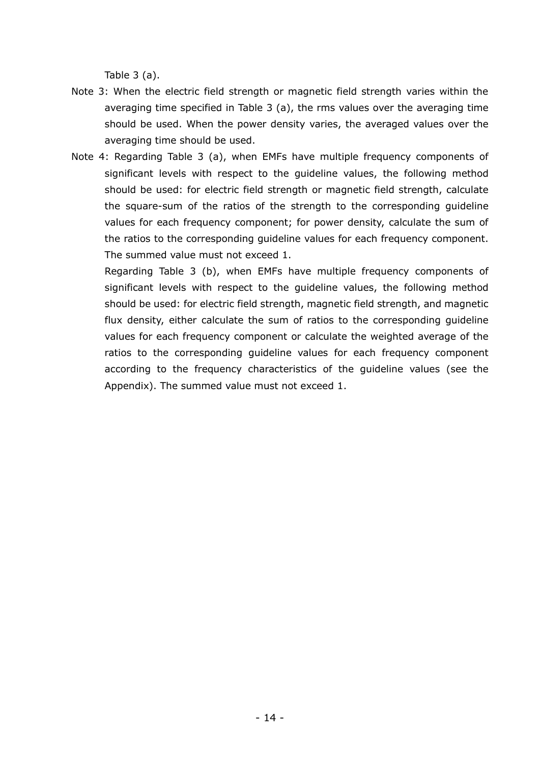Table  $3$  (a).

- Note 3: When the electric field strength or magnetic field strength varies within the averaging time specified in Table 3 (a), the rms values over the averaging time should be used. When the power density varies, the averaged values over the averaging time should be used.
- Note 4: Regarding Table 3 (a), when EMFs have multiple frequency components of significant levels with respect to the guideline values, the following method should be used: for electric field strength or magnetic field strength, calculate the square-sum of the ratios of the strength to the corresponding guideline values for each frequency component; for power density, calculate the sum of the ratios to the corresponding guideline values for each frequency component. The summed value must not exceed 1.

Regarding Table 3 (b), when EMFs have multiple frequency components of significant levels with respect to the guideline values, the following method should be used: for electric field strength, magnetic field strength, and magnetic flux density, either calculate the sum of ratios to the corresponding guideline values for each frequency component or calculate the weighted average of the ratios to the corresponding guideline values for each frequency component according to the frequency characteristics of the guideline values (see the Appendix). The summed value must not exceed 1.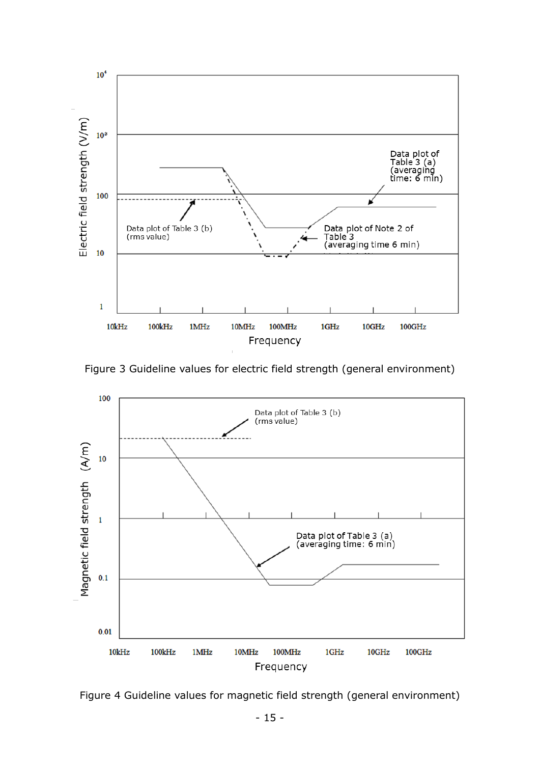

Figure 3 Guideline values for electric field strength (general environment)

![](_page_15_Figure_2.jpeg)

Figure 4 Guideline values for magnetic field strength (general environment)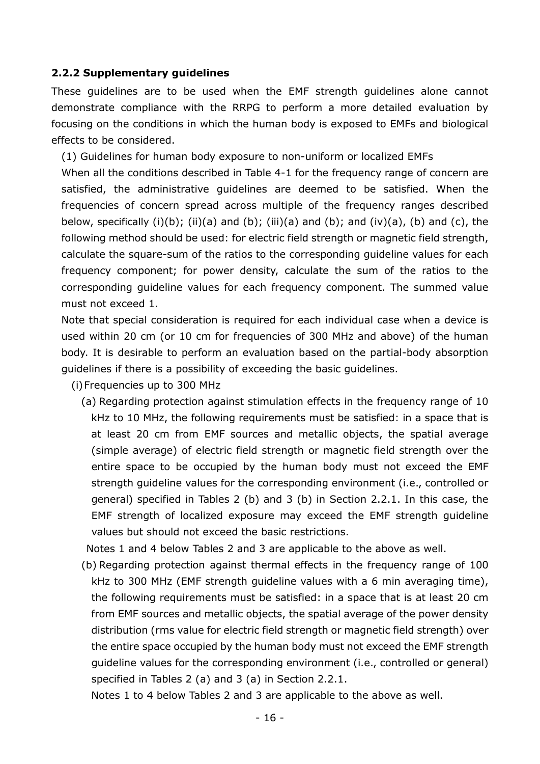#### <span id="page-16-0"></span>**2.2.2 Supplementary guidelines**

These guidelines are to be used when the EMF strength guidelines alone cannot demonstrate compliance with the RRPG to perform a more detailed evaluation by focusing on the conditions in which the human body is exposed to EMFs and biological effects to be considered.

(1) Guidelines for human body exposure to non-uniform or localized EMFs

When all the conditions described in Table 4-1 for the frequency range of concern are satisfied, the administrative guidelines are deemed to be satisfied. When the frequencies of concern spread across multiple of the frequency ranges described below, specifically  $(i)(b)$ ;  $(ii)(a)$  and  $(b)$ ;  $(iii)(a)$  and  $(b)$ ; and  $(iv)(a)$ ,  $(b)$  and  $(c)$ , the following method should be used: for electric field strength or magnetic field strength, calculate the square-sum of the ratios to the corresponding guideline values for each frequency component; for power density, calculate the sum of the ratios to the corresponding guideline values for each frequency component. The summed value must not exceed 1.

Note that special consideration is required for each individual case when a device is used within 20 cm (or 10 cm for frequencies of 300 MHz and above) of the human body. It is desirable to perform an evaluation based on the partial-body absorption guidelines if there is a possibility of exceeding the basic guidelines.

(i)Frequencies up to 300 MHz

(a) Regarding protection against stimulation effects in the frequency range of 10 kHz to 10 MHz, the following requirements must be satisfied: in a space that is at least 20 cm from EMF sources and metallic objects, the spatial average (simple average) of electric field strength or magnetic field strength over the entire space to be occupied by the human body must not exceed the EMF strength guideline values for the corresponding environment (i.e., controlled or general) specified in Tables 2 (b) and 3 (b) in Section 2.2.1. In this case, the EMF strength of localized exposure may exceed the EMF strength guideline values but should not exceed the basic restrictions.

Notes 1 and 4 below Tables 2 and 3 are applicable to the above as well.

(b) Regarding protection against thermal effects in the frequency range of 100 kHz to 300 MHz (EMF strength guideline values with a 6 min averaging time), the following requirements must be satisfied: in a space that is at least 20 cm from EMF sources and metallic objects, the spatial average of the power density distribution (rms value for electric field strength or magnetic field strength) over the entire space occupied by the human body must not exceed the EMF strength guideline values for the corresponding environment (i.e., controlled or general) specified in Tables 2 (a) and 3 (a) in Section 2.2.1.

Notes 1 to 4 below Tables 2 and 3 are applicable to the above as well.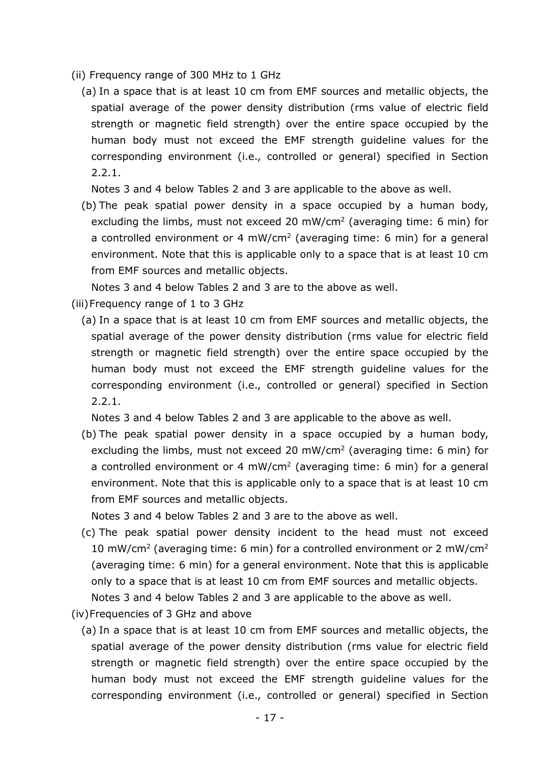- (ii) Frequency range of 300 MHz to 1 GHz
	- (a) In a space that is at least 10 cm from EMF sources and metallic objects, the spatial average of the power density distribution (rms value of electric field strength or magnetic field strength) over the entire space occupied by the human body must not exceed the EMF strength guideline values for the corresponding environment (i.e., controlled or general) specified in Section 2.2.1.

Notes 3 and 4 below Tables 2 and 3 are applicable to the above as well.

(b) The peak spatial power density in a space occupied by a human body, excluding the limbs, must not exceed 20 mW/cm<sup>2</sup> (averaging time: 6 min) for a controlled environment or 4 mW/cm<sup>2</sup> (averaging time: 6 min) for a general environment. Note that this is applicable only to a space that is at least 10 cm from EMF sources and metallic objects.

Notes 3 and 4 below Tables 2 and 3 are to the above as well.

(iii)Frequency range of 1 to 3 GHz

(a) In a space that is at least 10 cm from EMF sources and metallic objects, the spatial average of the power density distribution (rms value for electric field strength or magnetic field strength) over the entire space occupied by the human body must not exceed the EMF strength guideline values for the corresponding environment (i.e., controlled or general) specified in Section 2.2.1.

Notes 3 and 4 below Tables 2 and 3 are applicable to the above as well.

(b) The peak spatial power density in a space occupied by a human body, excluding the limbs, must not exceed 20 mW/cm<sup>2</sup> (averaging time: 6 min) for a controlled environment or 4 mW/cm<sup>2</sup> (averaging time: 6 min) for a general environment. Note that this is applicable only to a space that is at least 10 cm from EMF sources and metallic objects.

Notes 3 and 4 below Tables 2 and 3 are to the above as well.

- (c) The peak spatial power density incident to the head must not exceed 10 mW/cm<sup>2</sup> (averaging time: 6 min) for a controlled environment or 2 mW/cm<sup>2</sup> (averaging time: 6 min) for a general environment. Note that this is applicable only to a space that is at least 10 cm from EMF sources and metallic objects. Notes 3 and 4 below Tables 2 and 3 are applicable to the above as well.
- (iv)Frequencies of 3 GHz and above
	- (a) In a space that is at least 10 cm from EMF sources and metallic objects, the spatial average of the power density distribution (rms value for electric field strength or magnetic field strength) over the entire space occupied by the human body must not exceed the EMF strength guideline values for the corresponding environment (i.e., controlled or general) specified in Section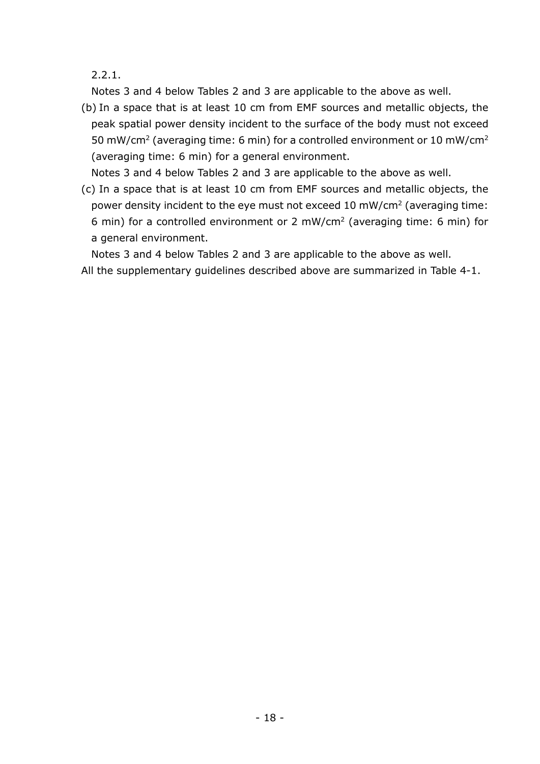2.2.1.

Notes 3 and 4 below Tables 2 and 3 are applicable to the above as well.

(b) In a space that is at least 10 cm from EMF sources and metallic objects, the peak spatial power density incident to the surface of the body must not exceed 50 mW/cm<sup>2</sup> (averaging time: 6 min) for a controlled environment or 10 mW/cm<sup>2</sup> (averaging time: 6 min) for a general environment.

Notes 3 and 4 below Tables 2 and 3 are applicable to the above as well.

(c) In a space that is at least 10 cm from EMF sources and metallic objects, the power density incident to the eye must not exceed 10 mW/cm2 (averaging time: 6 min) for a controlled environment or 2 mW/cm2 (averaging time: 6 min) for a general environment.

Notes 3 and 4 below Tables 2 and 3 are applicable to the above as well. All the supplementary guidelines described above are summarized in Table 4-1.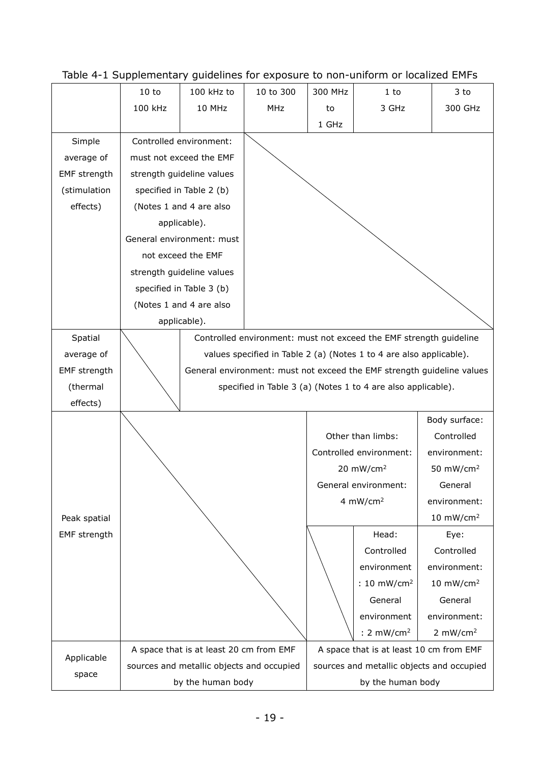|                     | 10 to                                                                  | 100 kHz to                                | 10 to 300  | 300 MHz | $1$ to                                    | 3 to                  |
|---------------------|------------------------------------------------------------------------|-------------------------------------------|------------|---------|-------------------------------------------|-----------------------|
|                     | 100 kHz                                                                | 10 MHz                                    | <b>MHz</b> | to      | 3 GHz                                     | 300 GHz               |
|                     |                                                                        |                                           |            | 1 GHz   |                                           |                       |
| Simple              |                                                                        | Controlled environment:                   |            |         |                                           |                       |
| average of          |                                                                        | must not exceed the EMF                   |            |         |                                           |                       |
| <b>EMF</b> strength |                                                                        | strength guideline values                 |            |         |                                           |                       |
| (stimulation        |                                                                        | specified in Table 2 (b)                  |            |         |                                           |                       |
| effects)            |                                                                        | (Notes 1 and 4 are also                   |            |         |                                           |                       |
|                     |                                                                        | applicable).                              |            |         |                                           |                       |
|                     |                                                                        | General environment: must                 |            |         |                                           |                       |
|                     |                                                                        | not exceed the EMF                        |            |         |                                           |                       |
|                     |                                                                        | strength guideline values                 |            |         |                                           |                       |
|                     |                                                                        | specified in Table 3 (b)                  |            |         |                                           |                       |
|                     |                                                                        | (Notes 1 and 4 are also                   |            |         |                                           |                       |
|                     |                                                                        | applicable).                              |            |         |                                           |                       |
| Spatial             | Controlled environment: must not exceed the EMF strength guideline     |                                           |            |         |                                           |                       |
| average of          | values specified in Table 2 (a) (Notes 1 to 4 are also applicable).    |                                           |            |         |                                           |                       |
| EMF strength        | General environment: must not exceed the EMF strength guideline values |                                           |            |         |                                           |                       |
| (thermal            | specified in Table 3 (a) (Notes 1 to 4 are also applicable).           |                                           |            |         |                                           |                       |
| effects)            |                                                                        |                                           |            |         |                                           |                       |
|                     |                                                                        |                                           |            |         |                                           | Body surface:         |
|                     |                                                                        |                                           |            |         | Other than limbs:                         | Controlled            |
|                     |                                                                        |                                           |            |         | Controlled environment:                   | environment:          |
|                     |                                                                        |                                           |            |         | 20 $mW/cm2$                               | 50 mW/cm <sup>2</sup> |
|                     |                                                                        |                                           |            |         | General environment:                      | General               |
|                     |                                                                        |                                           |            |         | 4 $mW/cm2$                                | environment:          |
| Peak spatial        |                                                                        |                                           |            |         |                                           | 10 $mW/cm2$           |
| <b>EMF</b> strength |                                                                        |                                           |            |         | Head:                                     | Eye:                  |
|                     |                                                                        |                                           |            |         | Controlled                                | Controlled            |
|                     |                                                                        |                                           |            |         | environment                               | environment:          |
|                     |                                                                        |                                           |            |         | : $10 \text{ mW/cm}^2$                    | 10 $mW/cm2$           |
|                     |                                                                        |                                           |            | General | General                                   |                       |
|                     |                                                                        |                                           |            |         | environment                               | environment:          |
|                     |                                                                        |                                           |            |         | : 2 $mW/cm2$                              | 2 $mW/cm2$            |
| Applicable          |                                                                        | A space that is at least 20 cm from EMF   |            |         | A space that is at least 10 cm from EMF   |                       |
| space               |                                                                        | sources and metallic objects and occupied |            |         | sources and metallic objects and occupied |                       |
|                     |                                                                        | by the human body                         |            |         | by the human body                         |                       |

Table 4-1 Supplementary guidelines for exposure to non-uniform or localized EMFs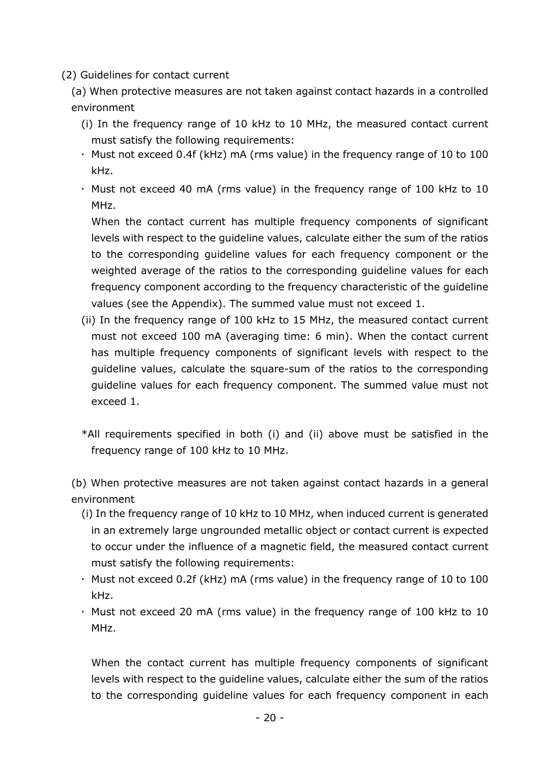(2) Guidelines for contact current

(a) When protective measures are not taken against contact hazards in a controlled environment

- (i) In the frequency range of 10 kHz to 10 MHz, the measured contact current must satisfy the following requirements:
- $\cdot$  Must not exceed 0.4f (kHz) mA (rms value) in the frequency range of 10 to 100 kHz.
- Must not exceed 40 mA (rms value) in the frequency range of 100 kHz to 10 MHz.

When the contact current has multiple frequency components of significant levels with respect to the guideline values, calculate either the sum of the ratios to the corresponding guideline values for each frequency component or the weighted average of the ratios to the corresponding guideline values for each frequency component according to the frequency characteristic of the guideline values (see the Appendix). The summed value must not exceed 1.

- (ii) In the frequency range of 100 kHz to 15 MHz, the measured contact current must not exceed 100 mA (averaging time: 6 min). When the contact current has multiple frequency components of significant levels with respect to the guideline values, calculate the square-sum of the ratios to the corresponding guideline values for each frequency component. The summed value must not exceed 1.
- \*All requirements specified in both (i) and (ii) above must be satisfied in the frequency range of 100 kHz to 10 MHz.

(b) When protective measures are not taken against contact hazards in a general environment

- (i) In the frequency range of 10 kHz to 10 MHz, when induced current is generated in an extremely large ungrounded metallic object or contact current is expected to occur under the influence of a magnetic field, the measured contact current must satisfy the following requirements:
- Must not exceed 0.2f (kHz) mA (rms value) in the frequency range of 10 to 100 kHz.
- Must not exceed 20 mA (rms value) in the frequency range of 100 kHz to 10 MHz.

When the contact current has multiple frequency components of significant levels with respect to the guideline values, calculate either the sum of the ratios to the corresponding guideline values for each frequency component in each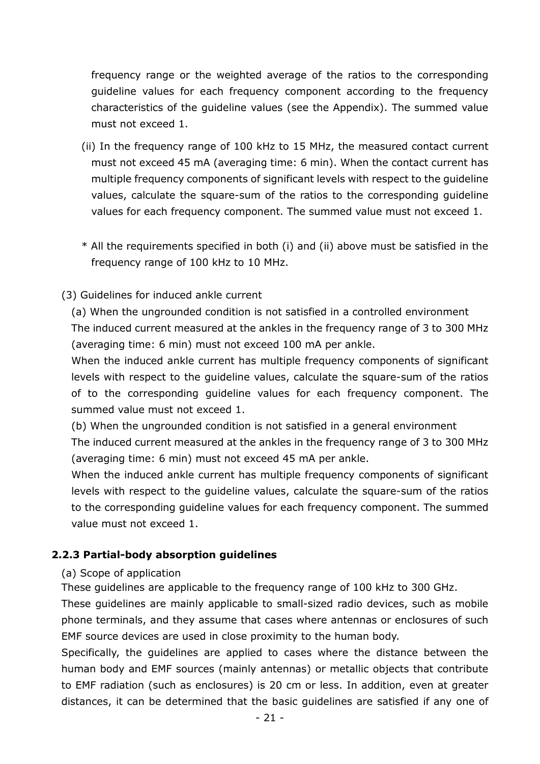frequency range or the weighted average of the ratios to the corresponding guideline values for each frequency component according to the frequency characteristics of the guideline values (see the Appendix). The summed value must not exceed 1.

- (ii) In the frequency range of 100 kHz to 15 MHz, the measured contact current must not exceed 45 mA (averaging time: 6 min). When the contact current has multiple frequency components of significant levels with respect to the guideline values, calculate the square-sum of the ratios to the corresponding guideline values for each frequency component. The summed value must not exceed 1.
- \* All the requirements specified in both (i) and (ii) above must be satisfied in the frequency range of 100 kHz to 10 MHz.

### (3) Guidelines for induced ankle current

(a) When the ungrounded condition is not satisfied in a controlled environment The induced current measured at the ankles in the frequency range of 3 to 300 MHz (averaging time: 6 min) must not exceed 100 mA per ankle.

When the induced ankle current has multiple frequency components of significant levels with respect to the guideline values, calculate the square-sum of the ratios of to the corresponding guideline values for each frequency component. The summed value must not exceed 1.

(b) When the ungrounded condition is not satisfied in a general environment

The induced current measured at the ankles in the frequency range of 3 to 300 MHz (averaging time: 6 min) must not exceed 45 mA per ankle.

When the induced ankle current has multiple frequency components of significant levels with respect to the guideline values, calculate the square-sum of the ratios to the corresponding guideline values for each frequency component. The summed value must not exceed 1.

#### <span id="page-21-0"></span>**2.2.3 Partial-body absorption guidelines**

#### (a) Scope of application

These guidelines are applicable to the frequency range of 100 kHz to 300 GHz.

These guidelines are mainly applicable to small-sized radio devices, such as mobile phone terminals, and they assume that cases where antennas or enclosures of such EMF source devices are used in close proximity to the human body.

Specifically, the guidelines are applied to cases where the distance between the human body and EMF sources (mainly antennas) or metallic objects that contribute to EMF radiation (such as enclosures) is 20 cm or less. In addition, even at greater distances, it can be determined that the basic guidelines are satisfied if any one of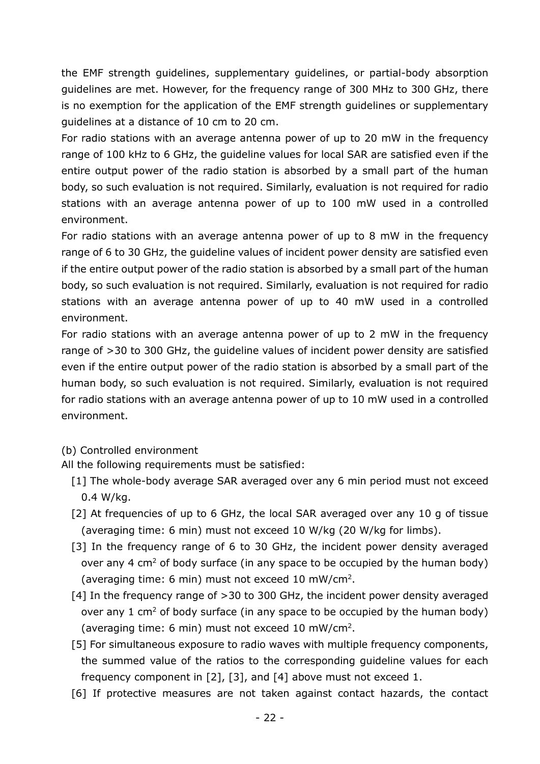the EMF strength guidelines, supplementary guidelines, or partial-body absorption guidelines are met. However, for the frequency range of 300 MHz to 300 GHz, there is no exemption for the application of the EMF strength guidelines or supplementary guidelines at a distance of 10 cm to 20 cm.

For radio stations with an average antenna power of up to 20 mW in the frequency range of 100 kHz to 6 GHz, the guideline values for local SAR are satisfied even if the entire output power of the radio station is absorbed by a small part of the human body, so such evaluation is not required. Similarly, evaluation is not required for radio stations with an average antenna power of up to 100 mW used in a controlled environment.

For radio stations with an average antenna power of up to 8 mW in the frequency range of 6 to 30 GHz, the guideline values of incident power density are satisfied even if the entire output power of the radio station is absorbed by a small part of the human body, so such evaluation is not required. Similarly, evaluation is not required for radio stations with an average antenna power of up to 40 mW used in a controlled environment.

For radio stations with an average antenna power of up to 2 mW in the frequency range of >30 to 300 GHz, the guideline values of incident power density are satisfied even if the entire output power of the radio station is absorbed by a small part of the human body, so such evaluation is not required. Similarly, evaluation is not required for radio stations with an average antenna power of up to 10 mW used in a controlled environment.

#### (b) Controlled environment

All the following requirements must be satisfied:

- [1] The whole-body average SAR averaged over any 6 min period must not exceed 0.4 W/kg.
- [2] At frequencies of up to 6 GHz, the local SAR averaged over any 10 g of tissue (averaging time: 6 min) must not exceed 10 W/kg (20 W/kg for limbs).
- [3] In the frequency range of 6 to 30 GHz, the incident power density averaged over any 4  $\text{cm}^2$  of body surface (in any space to be occupied by the human body) (averaging time: 6 min) must not exceed 10 mW/cm2.
- [4] In the frequency range of >30 to 300 GHz, the incident power density averaged over any 1  $\text{cm}^2$  of body surface (in any space to be occupied by the human body) (averaging time: 6 min) must not exceed 10 mW/cm2.
- [5] For simultaneous exposure to radio waves with multiple frequency components, the summed value of the ratios to the corresponding guideline values for each frequency component in [2], [3], and [4] above must not exceed 1.
- [6] If protective measures are not taken against contact hazards, the contact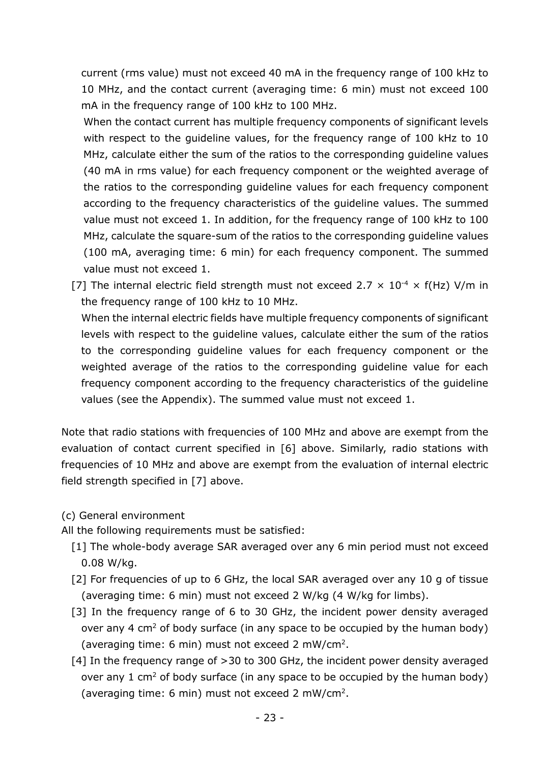current (rms value) must not exceed 40 mA in the frequency range of 100 kHz to 10 MHz, and the contact current (averaging time: 6 min) must not exceed 100 mA in the frequency range of 100 kHz to 100 MHz.

When the contact current has multiple frequency components of significant levels with respect to the guideline values, for the frequency range of 100 kHz to 10 MHz, calculate either the sum of the ratios to the corresponding guideline values (40 mA in rms value) for each frequency component or the weighted average of the ratios to the corresponding guideline values for each frequency component according to the frequency characteristics of the guideline values. The summed value must not exceed 1. In addition, for the frequency range of 100 kHz to 100 MHz, calculate the square-sum of the ratios to the corresponding guideline values (100 mA, averaging time: 6 min) for each frequency component. The summed value must not exceed 1.

[7] The internal electric field strength must not exceed 2.7  $\times$  10<sup>-4</sup>  $\times$  f(Hz) V/m in the frequency range of 100 kHz to 10 MHz.

When the internal electric fields have multiple frequency components of significant levels with respect to the guideline values, calculate either the sum of the ratios to the corresponding guideline values for each frequency component or the weighted average of the ratios to the corresponding guideline value for each frequency component according to the frequency characteristics of the guideline values (see the Appendix). The summed value must not exceed 1.

Note that radio stations with frequencies of 100 MHz and above are exempt from the evaluation of contact current specified in [6] above. Similarly, radio stations with frequencies of 10 MHz and above are exempt from the evaluation of internal electric field strength specified in [7] above.

(c) General environment

All the following requirements must be satisfied:

- [1] The whole-body average SAR averaged over any 6 min period must not exceed 0.08 W/kg.
- [2] For frequencies of up to 6 GHz, the local SAR averaged over any 10 g of tissue (averaging time: 6 min) must not exceed 2 W/kg (4 W/kg for limbs).
- [3] In the frequency range of 6 to 30 GHz, the incident power density averaged over any 4  $\text{cm}^2$  of body surface (in any space to be occupied by the human body) (averaging time: 6 min) must not exceed 2 mW/cm2.
- [4] In the frequency range of >30 to 300 GHz, the incident power density averaged over any 1 cm<sup>2</sup> of body surface (in any space to be occupied by the human body) (averaging time: 6 min) must not exceed 2 mW/cm2.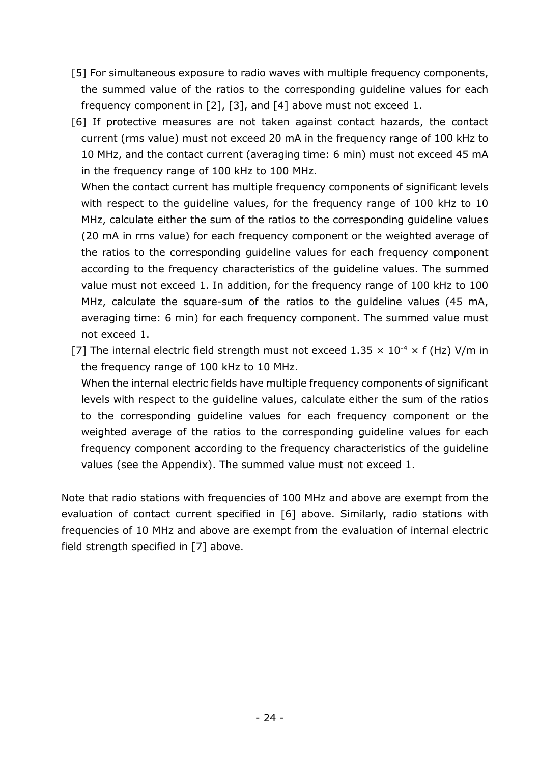- [5] For simultaneous exposure to radio waves with multiple frequency components, the summed value of the ratios to the corresponding guideline values for each frequency component in [2], [3], and [4] above must not exceed 1.
- [6] If protective measures are not taken against contact hazards, the contact current (rms value) must not exceed 20 mA in the frequency range of 100 kHz to 10 MHz, and the contact current (averaging time: 6 min) must not exceed 45 mA in the frequency range of 100 kHz to 100 MHz.

When the contact current has multiple frequency components of significant levels with respect to the guideline values, for the frequency range of 100 kHz to 10 MHz, calculate either the sum of the ratios to the corresponding guideline values (20 mA in rms value) for each frequency component or the weighted average of the ratios to the corresponding guideline values for each frequency component according to the frequency characteristics of the guideline values. The summed value must not exceed 1. In addition, for the frequency range of 100 kHz to 100 MHz, calculate the square-sum of the ratios to the guideline values (45 mA, averaging time: 6 min) for each frequency component. The summed value must not exceed 1.

[7] The internal electric field strength must not exceed  $1.35 \times 10^{-4} \times$  f (Hz) V/m in the frequency range of 100 kHz to 10 MHz.

When the internal electric fields have multiple frequency components of significant levels with respect to the guideline values, calculate either the sum of the ratios to the corresponding guideline values for each frequency component or the weighted average of the ratios to the corresponding guideline values for each frequency component according to the frequency characteristics of the guideline values (see the Appendix). The summed value must not exceed 1.

Note that radio stations with frequencies of 100 MHz and above are exempt from the evaluation of contact current specified in [6] above. Similarly, radio stations with frequencies of 10 MHz and above are exempt from the evaluation of internal electric field strength specified in [7] above.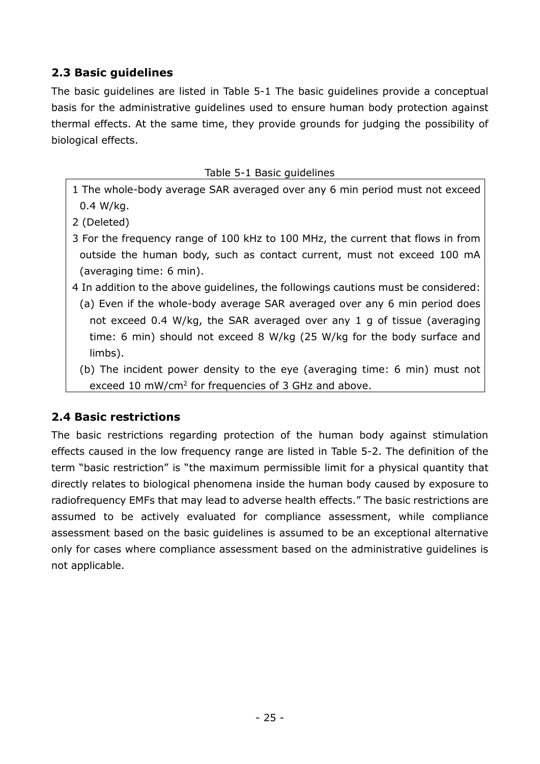# <span id="page-25-0"></span>**2.3 Basic guidelines**

The basic guidelines are listed in Table 5-1 The basic guidelines provide a conceptual basis for the administrative guidelines used to ensure human body protection against thermal effects. At the same time, they provide grounds for judging the possibility of biological effects.

- Table 5-1 Basic guidelines
- 1 The whole-body average SAR averaged over any 6 min period must not exceed 0.4 W/kg.
- 2 (Deleted)
- 3 For the frequency range of 100 kHz to 100 MHz, the current that flows in from outside the human body, such as contact current, must not exceed 100 mA (averaging time: 6 min).
- 4 In addition to the above guidelines, the followings cautions must be considered: (a) Even if the whole-body average SAR averaged over any 6 min period does not exceed 0.4 W/kg, the SAR averaged over any 1 g of tissue (averaging time: 6 min) should not exceed 8 W/kg (25 W/kg for the body surface and limbs).
	- (b) The incident power density to the eye (averaging time: 6 min) must not exceed 10 mW/cm<sup>2</sup> for frequencies of 3 GHz and above.

# <span id="page-25-1"></span>**2.4 Basic restrictions**

The basic restrictions regarding protection of the human body against stimulation effects caused in the low frequency range are listed in Table 5-2. The definition of the term "basic restriction" is "the maximum permissible limit for a physical quantity that directly relates to biological phenomena inside the human body caused by exposure to radiofrequency EMFs that may lead to adverse health effects." The basic restrictions are assumed to be actively evaluated for compliance assessment, while compliance assessment based on the basic guidelines is assumed to be an exceptional alternative only for cases where compliance assessment based on the administrative guidelines is not applicable.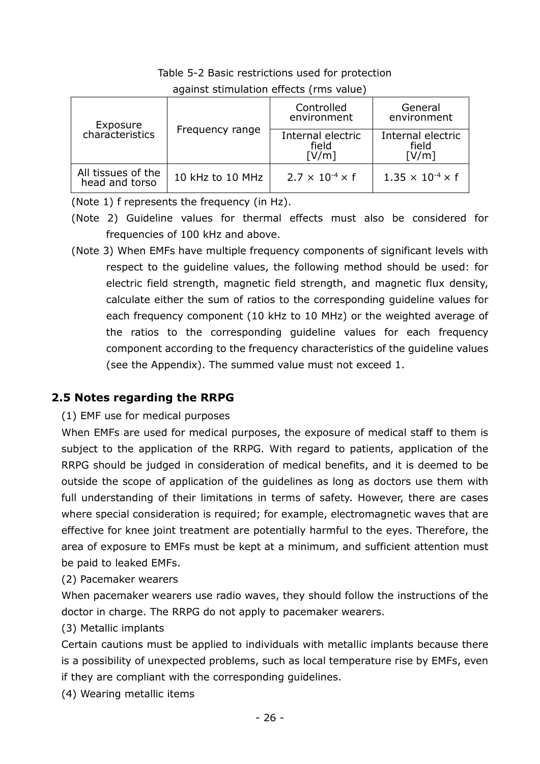|  | Table 5-2 Basic restrictions used for protection |  |  |
|--|--------------------------------------------------|--|--|
|  |                                                  |  |  |

| Exposure                             |                  | Controlled<br>environment           | General<br>environment              |
|--------------------------------------|------------------|-------------------------------------|-------------------------------------|
| characteristics                      | Frequency range  | Internal electric<br>field<br>[V/m] | Internal electric<br>field<br>[V/m] |
| All tissues of the<br>head and torso | 10 kHz to 10 MHz | $2.7 \times 10^{-4} \times f$       | $1.35 \times 10^{-4} \times f$      |

against stimulation effects (rms value)

(Note 1) f represents the frequency (in Hz).

- (Note 2) Guideline values for thermal effects must also be considered for frequencies of 100 kHz and above.
- (Note 3) When EMFs have multiple frequency components of significant levels with respect to the guideline values, the following method should be used: for electric field strength, magnetic field strength, and magnetic flux density, calculate either the sum of ratios to the corresponding guideline values for each frequency component (10 kHz to 10 MHz) or the weighted average of the ratios to the corresponding guideline values for each frequency component according to the frequency characteristics of the guideline values (see the Appendix). The summed value must not exceed 1.

# <span id="page-26-0"></span>**2.5 Notes regarding the RRPG**

# (1) EMF use for medical purposes

When EMFs are used for medical purposes, the exposure of medical staff to them is subject to the application of the RRPG. With regard to patients, application of the RRPG should be judged in consideration of medical benefits, and it is deemed to be outside the scope of application of the guidelines as long as doctors use them with full understanding of their limitations in terms of safety. However, there are cases where special consideration is required; for example, electromagnetic waves that are effective for knee joint treatment are potentially harmful to the eyes. Therefore, the area of exposure to EMFs must be kept at a minimum, and sufficient attention must be paid to leaked EMFs.

(2) Pacemaker wearers

When pacemaker wearers use radio waves, they should follow the instructions of the doctor in charge. The RRPG do not apply to pacemaker wearers.

(3) Metallic implants

Certain cautions must be applied to individuals with metallic implants because there is a possibility of unexpected problems, such as local temperature rise by EMFs, even if they are compliant with the corresponding guidelines.

(4) Wearing metallic items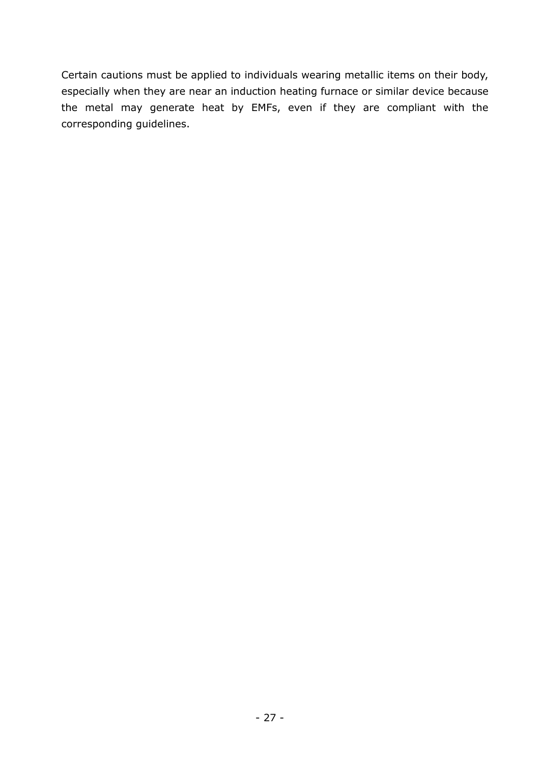Certain cautions must be applied to individuals wearing metallic items on their body, especially when they are near an induction heating furnace or similar device because the metal may generate heat by EMFs, even if they are compliant with the corresponding guidelines.